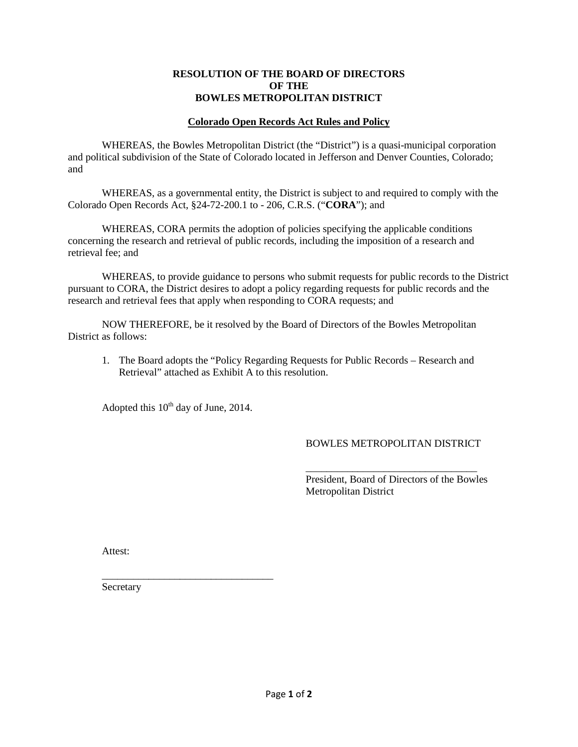### **RESOLUTION OF THE BOARD OF DIRECTORS OF THE BOWLES METROPOLITAN DISTRICT**

## **Colorado Open Records Act Rules and Policy**

WHEREAS, the Bowles Metropolitan District (the "District") is a quasi-municipal corporation and political subdivision of the State of Colorado located in Jefferson and Denver Counties, Colorado; and

WHEREAS, as a governmental entity, the District is subject to and required to comply with the Colorado Open Records Act, §24-72-200.1 to - 206, C.R.S. ("**CORA**"); and

WHEREAS, CORA permits the adoption of policies specifying the applicable conditions concerning the research and retrieval of public records, including the imposition of a research and retrieval fee; and

WHEREAS, to provide guidance to persons who submit requests for public records to the District pursuant to CORA, the District desires to adopt a policy regarding requests for public records and the research and retrieval fees that apply when responding to CORA requests; and

NOW THEREFORE, be it resolved by the Board of Directors of the Bowles Metropolitan District as follows:

1. The Board adopts the "Policy Regarding Requests for Public Records – Research and Retrieval" attached as Exhibit A to this resolution.

Adopted this  $10^{th}$  day of June, 2014.

\_\_\_\_\_\_\_\_\_\_\_\_\_\_\_\_\_\_\_\_\_\_\_\_\_\_\_\_\_\_\_\_\_

# BOWLES METROPOLITAN DISTRICT

\_\_\_\_\_\_\_\_\_\_\_\_\_\_\_\_\_\_\_\_\_\_\_\_\_\_\_\_\_\_\_\_\_

President, Board of Directors of the Bowles Metropolitan District

Attest:

Secretary